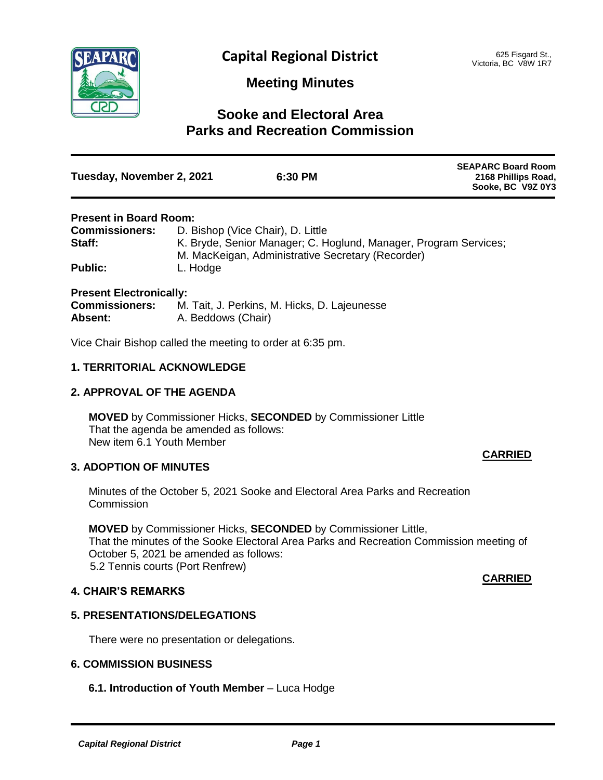

#### **Meeting Minutes**

### **Sooke and Electoral Area Parks and Recreation Commission**

| Tuesday, November 2, 2021 | 6:30 PM | <b>SEAPARC Board Room</b><br>2168 Phillips Road,<br>Sooke, BC V9Z 0Y3 |
|---------------------------|---------|-----------------------------------------------------------------------|
|                           |         |                                                                       |

#### **Present in Board Room:**

| <b>Commissioners:</b> | D. Bishop (Vice Chair), D. Little                                |
|-----------------------|------------------------------------------------------------------|
| Staff:                | K. Bryde, Senior Manager; C. Hoglund, Manager, Program Services; |
|                       | M. MacKeigan, Administrative Secretary (Recorder)                |
| <b>Public:</b>        | L. Hodge                                                         |

#### **Present Electronically:**

| <b>Commissioners:</b> | M. Tait, J. Perkins, M. Hicks, D. Lajeunesse |
|-----------------------|----------------------------------------------|
| Absent:               | A. Beddows (Chair)                           |

Vice Chair Bishop called the meeting to order at 6:35 pm.

#### **1. TERRITORIAL ACKNOWLEDGE**

#### **2. APPROVAL OF THE AGENDA**

**MOVED** by Commissioner Hicks, **SECONDED** by Commissioner Little That the agenda be amended as follows: New item 6.1 Youth Member

#### **3. ADOPTION OF MINUTES**

#### Minutes of the October 5, 2021 Sooke and Electoral Area Parks and Recreation **Commission**

**MOVED** by Commissioner Hicks, **SECONDED** by Commissioner Little, That the minutes of the Sooke Electoral Area Parks and Recreation Commission meeting of October 5, 2021 be amended as follows: 5.2 Tennis courts (Port Renfrew)

#### **4. CHAIR'S REMARKS**

#### **5. PRESENTATIONS/DELEGATIONS**

There were no presentation or delegations.

#### **6. COMMISSION BUSINESS**

**6.1. Introduction of Youth Member** – Luca Hodge

# **CARRIED**

**CARRIED**

#### *Capital Regional District Page 1*